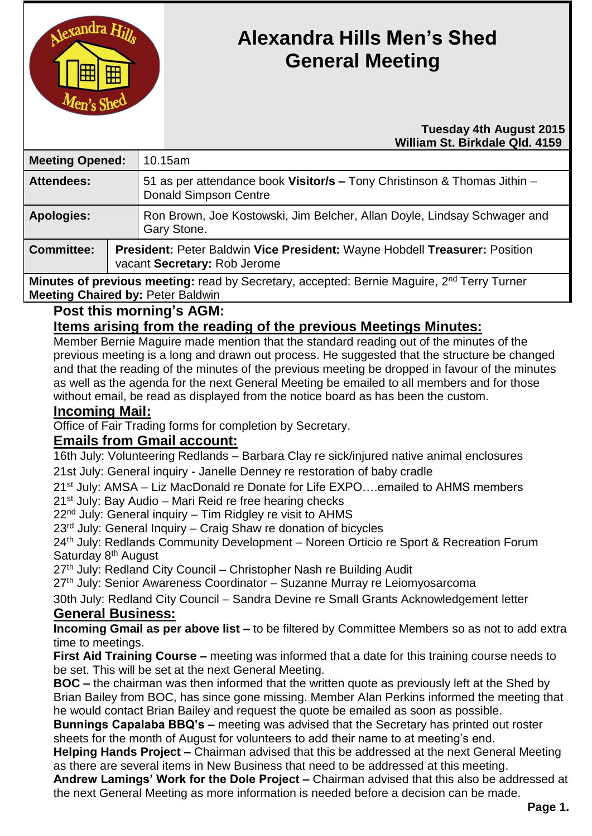

# **Alexandra Hills Men's Shed General Meeting**

#### **Tuesday 4th August 2015 William St. Birkdale Qld. 4159**

| <b>Meeting Opened:</b> |  | 10.15am                                                                                                    |  |
|------------------------|--|------------------------------------------------------------------------------------------------------------|--|
| <b>Attendees:</b>      |  | 51 as per attendance book Visitor/s - Tony Christinson & Thomas Jithin -<br><b>Donald Simpson Centre</b>   |  |
| <b>Apologies:</b>      |  | Ron Brown, Joe Kostowski, Jim Belcher, Allan Doyle, Lindsay Schwager and<br>Gary Stone.                    |  |
| <b>Committee:</b>      |  | President: Peter Baldwin Vice President: Wayne Hobdell Treasurer: Position<br>vacant Secretary: Rob Jerome |  |

**Minutes of previous meeting:** read by Secretary, accepted: Bernie Maguire, 2<sup>nd</sup> Terry Turner **Meeting Chaired by:** Peter Baldwin

**Post this morning's AGM:**

# **Items arising from the reading of the previous Meetings Minutes:**

Member Bernie Maguire made mention that the standard reading out of the minutes of the previous meeting is a long and drawn out process. He suggested that the structure be changed and that the reading of the minutes of the previous meeting be dropped in favour of the minutes as well as the agenda for the next General Meeting be emailed to all members and for those without email, be read as displayed from the notice board as has been the custom.

#### **Incoming Mail:**

Office of Fair Trading forms for completion by Secretary.

## **Emails from Gmail account:**

16th July: Volunteering Redlands – Barbara Clay re sick/injured native animal enclosures 21st July: General inquiry - Janelle Denney re restoration of baby cradle

21st July: AMSA – Liz MacDonald re Donate for Life EXPO….emailed to AHMS members 21<sup>st</sup> July: Bay Audio – Mari Reid re free hearing checks

 $22<sup>nd</sup>$  July: General inquiry – Tim Ridgley re visit to AHMS

23rd July: General Inquiry – Craig Shaw re donation of bicycles

24th July: Redlands Community Development – Noreen Orticio re Sport & Recreation Forum Saturday 8<sup>th</sup> August

27<sup>th</sup> July: Redland City Council – Christopher Nash re Building Audit

27<sup>th</sup> July: Senior Awareness Coordinator – Suzanne Murray re Leiomyosarcoma

30th July: Redland City Council – Sandra Devine re Small Grants Acknowledgement letter

## **General Business:**

**Incoming Gmail as per above list –** to be filtered by Committee Members so as not to add extra time to meetings.

**First Aid Training Course –** meeting was informed that a date for this training course needs to be set. This will be set at the next General Meeting.

**BOC –** the chairman was then informed that the written quote as previously left at the Shed by Brian Bailey from BOC, has since gone missing. Member Alan Perkins informed the meeting that he would contact Brian Bailey and request the quote be emailed as soon as possible.

**Bunnings Capalaba BBQ's –** meeting was advised that the Secretary has printed out roster sheets for the month of August for volunteers to add their name to at meeting's end.

**Helping Hands Project –** Chairman advised that this be addressed at the next General Meeting as there are several items in New Business that need to be addressed at this meeting.

**Andrew Lamings' Work for the Dole Project –** Chairman advised that this also be addressed at the next General Meeting as more information is needed before a decision can be made.